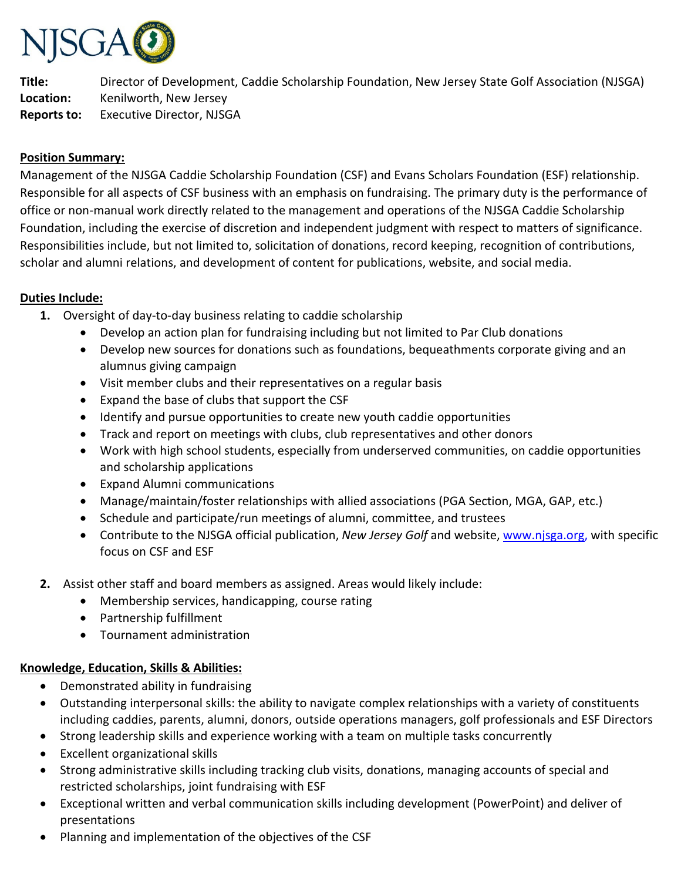

**Title:** Director of Development, Caddie Scholarship Foundation, New Jersey State Golf Association (NJSGA) **Location:** Kenilworth, New Jersey **Reports to:** Executive Director, NJSGA

### **Position Summary:**

Management of the NJSGA Caddie Scholarship Foundation (CSF) and Evans Scholars Foundation (ESF) relationship. Responsible for all aspects of CSF business with an emphasis on fundraising. The primary duty is the performance of office or non-manual work directly related to the management and operations of the NJSGA Caddie Scholarship Foundation, including the exercise of discretion and independent judgment with respect to matters of significance. Responsibilities include, but not limited to, solicitation of donations, record keeping, recognition of contributions, scholar and alumni relations, and development of content for publications, website, and social media.

#### **Duties Include:**

- **1.** Oversight of day-to-day business relating to caddie scholarship
	- Develop an action plan for fundraising including but not limited to Par Club donations
	- Develop new sources for donations such as foundations, bequeathments corporate giving and an alumnus giving campaign
	- Visit member clubs and their representatives on a regular basis
	- Expand the base of clubs that support the CSF
	- Identify and pursue opportunities to create new youth caddie opportunities
	- Track and report on meetings with clubs, club representatives and other donors
	- Work with high school students, especially from underserved communities, on caddie opportunities and scholarship applications
	- Expand Alumni communications
	- Manage/maintain/foster relationships with allied associations (PGA Section, MGA, GAP, etc.)
	- Schedule and participate/run meetings of alumni, committee, and trustees
	- Contribute to the NJSGA official publication, *New Jersey Golf* and website, [www.njsga.org,](http://www.njsga.org/) with specific focus on CSF and ESF
- **2.** Assist other staff and board members as assigned. Areas would likely include:
	- Membership services, handicapping, course rating
	- Partnership fulfillment
	- Tournament administration

### **Knowledge, Education, Skills & Abilities:**

- Demonstrated ability in fundraising
- Outstanding interpersonal skills: the ability to navigate complex relationships with a variety of constituents including caddies, parents, alumni, donors, outside operations managers, golf professionals and ESF Directors
- Strong leadership skills and experience working with a team on multiple tasks concurrently
- Excellent organizational skills
- Strong administrative skills including tracking club visits, donations, managing accounts of special and restricted scholarships, joint fundraising with ESF
- Exceptional written and verbal communication skills including development (PowerPoint) and deliver of presentations
- Planning and implementation of the objectives of the CSF